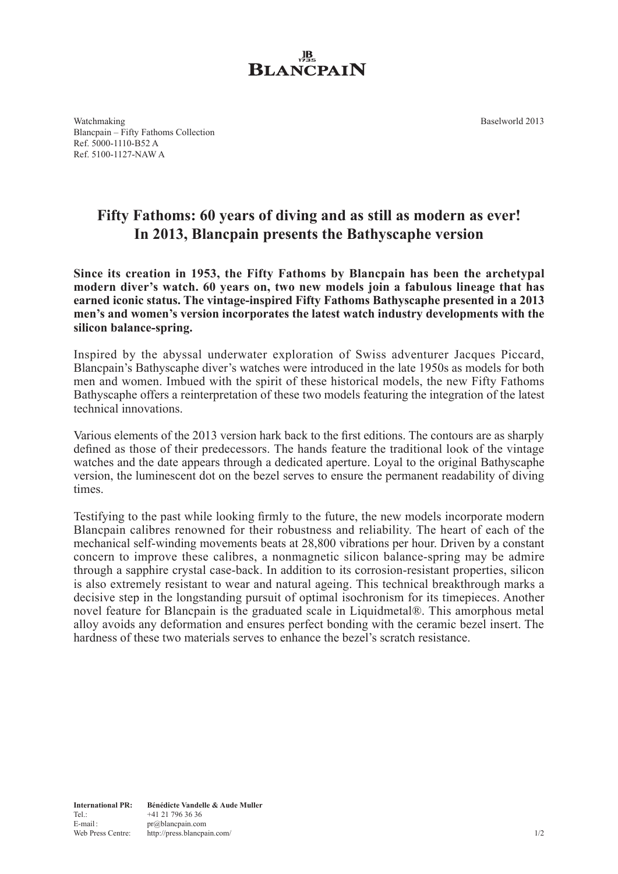Baselworld 2013



Watchmaking Blancpain – Fifty Fathoms Collection Ref. 5000-1110-B52 A Ref. 5100-1127-NAW A

## **Fifty Fathoms: 60 years of diving and as still as modern as ever! In 2013, Blancpain presents the Bathyscaphe version**

**Since its creation in 1953, the Fifty Fathoms by Blancpain has been the archetypal modern diver's watch. 60 years on, two new models join a fabulous lineage that has earned iconic status. The vintage-inspired Fifty Fathoms Bathyscaphe presented in a 2013 men's and women's version incorporates the latest watch industry developments with the silicon balance-spring.**

Inspired by the abyssal underwater exploration of Swiss adventurer Jacques Piccard, Blancpain's Bathyscaphe diver's watches were introduced in the late 1950s as models for both men and women. Imbued with the spirit of these historical models, the new Fifty Fathoms Bathyscaphe offers a reinterpretation of these two models featuring the integration of the latest technical innovations.

Various elements of the 2013 version hark back to the first editions. The contours are as sharply defined as those of their predecessors. The hands feature the traditional look of the vintage watches and the date appears through a dedicated aperture. Loyal to the original Bathyscaphe version, the luminescent dot on the bezel serves to ensure the permanent readability of diving times.

Testifying to the past while looking firmly to the future, the new models incorporate modern Blancpain calibres renowned for their robustness and reliability. The heart of each of the mechanical self-winding movements beats at 28,800 vibrations per hour. Driven by a constant concern to improve these calibres, a nonmagnetic silicon balance-spring may be admire through a sapphire crystal case-back. In addition to its corrosion-resistant properties, silicon is also extremely resistant to wear and natural ageing. This technical breakthrough marks a decisive step in the longstanding pursuit of optimal isochronism for its timepieces. Another novel feature for Blancpain is the graduated scale in Liquidmetal®. This amorphous metal alloy avoids any deformation and ensures perfect bonding with the ceramic bezel insert. The hardness of these two materials serves to enhance the bezel's scratch resistance.